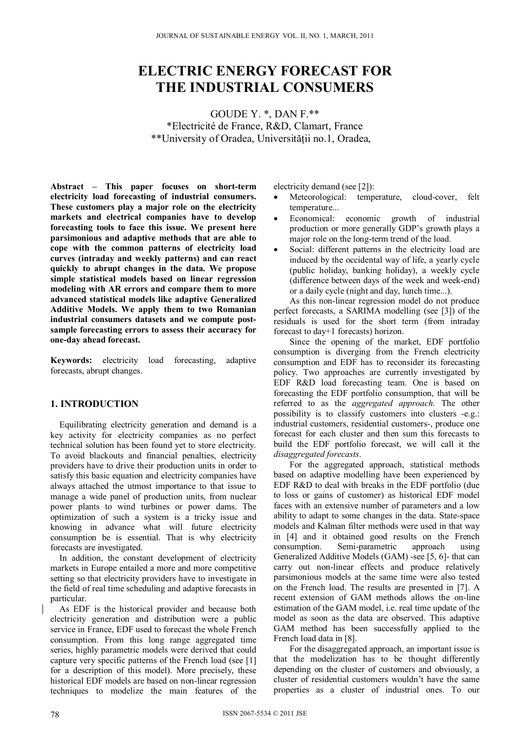# **ELECTRIC ENERGY FORECAST FOR THE INDUSTRIAL CONSUMERS**

GOUDE Y. \*, DAN F.\*\* \*Electricité de France, R&D, Clamart, France \*\*University of Oradea, Universităţii no.1, Oradea,

**Abstract – This paper focuses on short-term electricity load forecasting of industrial consumers. These customers play a major role on the electricity markets and electrical companies have to develop forecasting tools to face this issue. We present here parsimonious and adaptive methods that are able to cope with the common patterns of electricity load curves (intraday and weekly patterns) and can react quickly to abrupt changes in the data. We propose simple statistical models based on linear regression modeling with AR errors and compare them to more advanced statistical models like adaptive Generalized Additive Models. We apply them to two Romanian industrial consumers datasets and we compute postsample forecasting errors to assess their accuracy for one-day ahead forecast.** 

**Keywords:** electricity load forecasting, adaptive forecasts, abrupt changes.

# **1. INTRODUCTION**

Equilibrating electricity generation and demand is a key activity for electricity companies as no perfect technical solution has been found yet to store electricity. To avoid blackouts and financial penalties, electricity providers have to drive their production units in order to satisfy this basic equation and electricity companies have always attached the utmost importance to that issue to manage a wide panel of production units, from nuclear power plants to wind turbines or power dams. The optimization of such a system is a tricky issue and knowing in advance what will future electricity consumption be is essential. That is why electricity forecasts are investigated.

In addition, the constant development of electricity markets in Europe entailed a more and more competitive setting so that electricity providers have to investigate in the field of real time scheduling and adaptive forecasts in particular.

As EDF is the historical provider and because both electricity generation and distribution were a public service in France, EDF used to forecast the whole French consumption. From this long range aggregated time series, highly parametric models were derived that could capture very specific patterns of the French load (see [1] for a description of this model). More precisely, these historical EDF models are based on non-linear regression techniques to modelize the main features of the electricity demand (see [2]):

- Meteorological: temperature, cloud-cover, felt temperature...
- Economical: economic growth of industrial production or more generally GDP's growth plays a major role on the long-term trend of the load.
- Social: different patterns in the electricity load are induced by the occidental way of life, a yearly cycle (public holiday, banking holiday), a weekly cycle (difference between days of the week and week-end) or a daily cycle (night and day, lunch time...).

As this non-linear regression model do not produce perfect forecasts, a SARIMA modelling (see [3]) of the residuals is used for the short term (from intraday forecast to day+1 forecasts) horizon.

Since the opening of the market, EDF portfolio consumption is diverging from the French electricity consumption and EDF has to reconsider its forecasting policy. Two approaches are currently investigated by EDF R&D load forecasting team. One is based on forecasting the EDF portfolio consumption, that will be referred to as the *aggregated approach*. The other possibility is to classify customers into clusters -e.g.: industrial customers, residential customers-, produce one forecast for each cluster and then sum this forecasts to build the EDF portfolio forecast, we will call it the *disaggregated forecasts*.

For the aggregated approach, statistical methods based on adaptive modelling have been experienced by EDF R&D to deal with breaks in the EDF portfolio (due to loss or gains of customer) as historical EDF model faces with an extensive number of parameters and a low ability to adapt to some changes in the data. State-space models and Kalman filter methods were used in that way in [4] and it obtained good results on the French consumption. Semi-parametric approach using Generalized Additive Models (GAM) -see [5, 6]- that can carry out non-linear effects and produce relatively parsimonious models at the same time were also tested on the French load. The results are presented in [7]. A recent extension of GAM methods allows the on-line estimation of the GAM model, i.e. real time update of the model as soon as the data are observed. This adaptive GAM method has been successfully applied to the French load data in [8].

For the disaggregated approach, an important issue is that the modelization has to be thought differently depending on the cluster of customers and obviously, a cluster of residential customers wouldn't have the same properties as a cluster of industrial ones. To our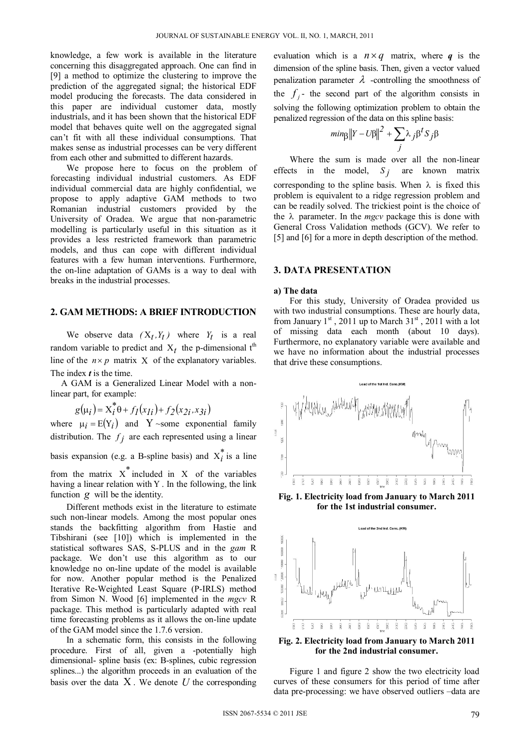knowledge, a few work is available in the literature concerning this disaggregated approach. One can find in [9] a method to optimize the clustering to improve the prediction of the aggregated signal; the historical EDF model producing the forecasts. The data considered in this paper are individual customer data, mostly industrials, and it has been shown that the historical EDF model that behaves quite well on the aggregated signal can't fit with all these individual consumptions. That makes sense as industrial processes can be very different from each other and submitted to different hazards.

We propose here to focus on the problem of forecasting individual industrial customers. As EDF individual commercial data are highly confidential, we propose to apply adaptive GAM methods to two Romanian industrial customers provided by the University of Oradea. We argue that non-parametric modelling is particularly useful in this situation as it provides a less restricted framework than parametric models, and thus can cope with different individual features with a few human interventions. Furthermore, the on-line adaptation of GAMs is a way to deal with breaks in the industrial processes.

# **2. GAM METHODS: A BRIEF INTRODUCTION**

We observe data  $(X_t, Y_t)$  where  $Y_t$  is a real random variable to predict and  $X_t$  the p-dimensional t<sup>th</sup> line of the  $n \times p$  matrix X of the explanatory variables. The index *t* is the time.

A GAM is a Generalized Linear Model with a nonlinear part, for example:

$$
g(\mu_i) = X_i^* \theta + f_I(x_{Ii}) + f_2(x_{2i}, x_{3i})
$$

where  $\mu_i = E(Y_i)$  and Y ~some exponential family distribution. The  $f_j$  are each represented using a linear

basis expansion (e.g. a B-spline basis) and  $X_i^*$  is a line

from the matrix  $X^*$  included in  $X$  of the variables having a linear relation with  $Y$ . In the following, the link function  $g$  will be the identity.

Different methods exist in the literature to estimate such non-linear models. Among the most popular ones stands the backfitting algorithm from Hastie and Tibshirani (see [10]) which is implemented in the statistical softwares SAS, S-PLUS and in the *gam* R package. We don't use this algorithm as to our knowledge no on-line update of the model is available for now. Another popular method is the Penalized Iterative Re-Weighted Least Square (P-IRLS) method from Simon N. Wood [6] implemented in the *mgcv* R package. This method is particularly adapted with real time forecasting problems as it allows the on-line update of the GAM model since the 1.7.6 version.

In a schematic form, this consists in the following procedure. First of all, given a -potentially high dimensional- spline basis (ex: B-splines, cubic regression splines...) the algorithm proceeds in an evaluation of the basis over the data  $X$ . We denote  $U$  the corresponding

evaluation which is a  $n \times q$  matrix, where *q* is the dimension of the spline basis. Then, given a vector valued penalization parameter  $\lambda$  -controlling the smoothness of the  $f_i$ - the second part of the algorithm consists in solving the following optimization problem to obtain the penalized regression of the data on this spline basis:

$$
min_{\beta} ||Y - U\beta||^2 + \sum_{j} \lambda_j \beta^t S_j \beta
$$

Where the sum is made over all the non-linear effects in the model,  $S_i$  are known matrix corresponding to the spline basis. When  $\lambda$  is fixed this problem is equivalent to a ridge regression problem and can be readily solved. The trickiest point is the choice of the  $\lambda$  parameter. In the *mgcv* package this is done with General Cross Validation methods (GCV). We refer to [5] and [6] for a more in depth description of the method.

#### **3. DATA PRESENTATION**

#### **a) The data**

For this study, University of Oradea provided us with two industrial consumptions. These are hourly data, from January  $1<sup>st</sup>$ , 2011 up to March  $31<sup>st</sup>$ , 2011 with a lot of missing data each month (about 10 days). Furthermore, no explanatory variable were available and we have no information about the industrial processes that drive these consumptions.



**Fig. 1. Electricity load from January to March 2011 for the 1st industrial consumer.** 



**Fig. 2. Electricity load from January to March 2011 for the 2nd industrial consumer.** 

Figure 1 and figure 2 show the two electricity load curves of these consumers for this period of time after data pre-processing: we have observed outliers –data are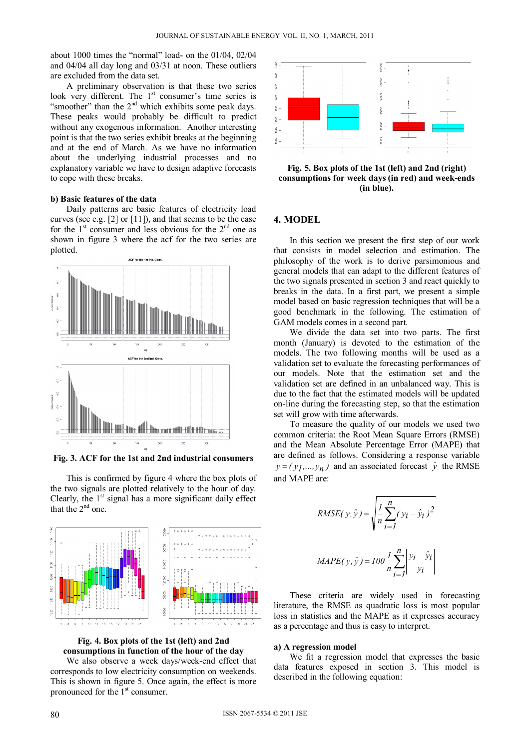about 1000 times the "normal" load- on the 01/04, 02/04 and 04/04 all day long and 03/31 at noon. These outliers are excluded from the data set.

A preliminary observation is that these two series look very different. The 1<sup>st</sup> consumer's time series is "smoother" than the 2<sup>nd</sup> which exhibits some peak days. These peaks would probably be difficult to predict without any exogenous information. Another interesting point is that the two series exhibit breaks at the beginning and at the end of March. As we have no information about the underlying industrial processes and no explanatory variable we have to design adaptive forecasts to cope with these breaks.

#### **b) Basic features of the data**

Daily patterns are basic features of electricity load curves (see e.g. [2] or [11]), and that seems to be the case for the  $1<sup>st</sup>$  consumer and less obvious for the  $2<sup>nd</sup>$  one as shown in figure 3 where the acf for the two series are plotted.



**Fig. 3. ACF for the 1st and 2nd industrial consumers** 

This is confirmed by figure 4 where the box plots of the two signals are plotted relatively to the hour of day. Clearly, the  $1<sup>st</sup>$  signal has a more significant daily effect that the  $2<sup>nd</sup>$  one.





We also observe a week days/week-end effect that corresponds to low electricity consumption on weekends. This is shown in figure 5. Once again, the effect is more pronounced for the 1<sup>st</sup> consumer.



**Fig. 5. Box plots of the 1st (left) and 2nd (right) consumptions for week days (in red) and week-ends (in blue).** 

## **4. MODEL**

In this section we present the first step of our work that consists in model selection and estimation. The philosophy of the work is to derive parsimonious and general models that can adapt to the different features of the two signals presented in section 3 and react quickly to breaks in the data. In a first part, we present a simple model based on basic regression techniques that will be a good benchmark in the following. The estimation of GAM models comes in a second part.

We divide the data set into two parts. The first month (January) is devoted to the estimation of the models. The two following months will be used as a validation set to evaluate the forecasting performances of our models. Note that the estimation set and the validation set are defined in an unbalanced way. This is due to the fact that the estimated models will be updated on-line during the forecasting step, so that the estimation set will grow with time afterwards.

To measure the quality of our models we used two common criteria: the Root Mean Square Errors (RMSE) and the Mean Absolute Percentage Error (MAPE) that are defined as follows. Considering a response variable  $y = (y_1,..., y_n)$  and an associated forecast  $\hat{y}$  the RMSE and MAPE are:

RMSE(
$$
y
$$
,  $\hat{y}$ ) =  $\sqrt{\frac{l}{n} \sum_{i=1}^{n} (y_i - \hat{y}_i)^2}$   
MAPE( $y$ ,  $\hat{y}$ ) = 100  $\frac{l}{n} \sum_{i=1}^{n} \left| \frac{y_i - \hat{y}_i}{y_i} \right|$ 

These criteria are widely used in forecasting literature, the RMSE as quadratic loss is most popular loss in statistics and the MAPE as it expresses accuracy as a percentage and thus is easy to interpret.

### **a) A regression model**

We fit a regression model that expresses the basic data features exposed in section 3. This model is described in the following equation: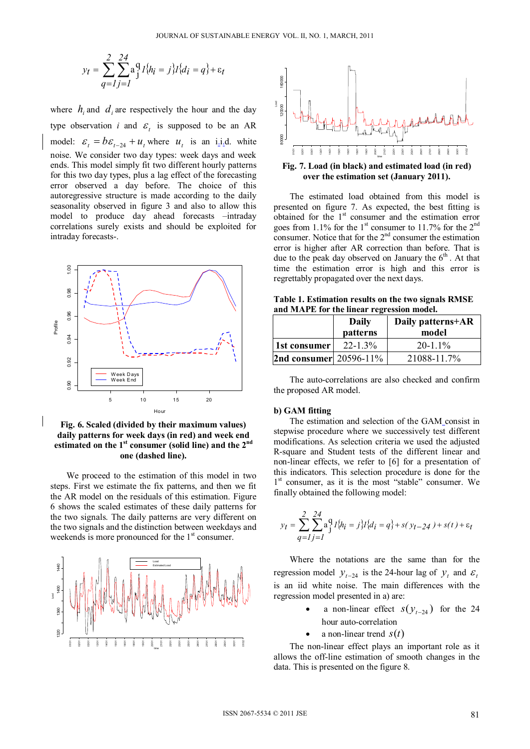$$
y_t = \sum_{q=1}^{2} \sum_{j=1}^{24} a_j^q I_{ij}^q = j I_{ij}^q I_{ij} = q + \varepsilon_t
$$

where  $h_i$  and  $d_j$  are respectively the hour and the day type observation *i* and  $\varepsilon$  is supposed to be an AR model:  $\varepsilon_t = b\varepsilon_{t-24} + u_t$ , where  $u_t$  is an i.i.d. white noise. We consider two day types: week days and week ends. This model simply fit two different hourly patterns for this two day types, plus a lag effect of the forecasting error observed a day before. The choice of this autoregressive structure is made according to the daily seasonality observed in figure 3 and also to allow this model to produce day ahead forecasts –intraday correlations surely exists and should be exploited for intraday forecasts-.



**Fig. 6. Scaled (divided by their maximum values) daily patterns for week days (in red) and week end**  estimated on the 1<sup>st</sup> consumer (solid line) and the 2<sup>nd</sup> **one (dashed line).** 

We proceed to the estimation of this model in two steps. First we estimate the fix patterns, and then we fit the AR model on the residuals of this estimation. Figure 6 shows the scaled estimates of these daily patterns for the two signals. The daily patterns are very different on the two signals and the distinction between weekdays and weekends is more pronounced for the  $1<sup>st</sup>$  consumer.





**Fig. 7. Load (in black) and estimated load (in red) over the estimation set (January 2011).** 

The estimated load obtained from this model is presented on figure 7. As expected, the best fitting is obtained for the  $1<sup>st</sup>$  consumer and the estimation error goes from 1.1% for the 1<sup>st</sup> consumer to 11.7% for the 2<sup>nd</sup> consumer. Notice that for the  $2<sup>nd</sup>$  consumer the estimation error is higher after AR correction than before. That is due to the peak day observed on January the  $6<sup>th</sup>$ . At that time the estimation error is high and this error is regrettably propagated over the next days.

**Table 1. Estimation results on the two signals RMSE and MAPE for the linear regression model.**

|                               | Daily<br>patterns | Daily patterns+AR<br>model |
|-------------------------------|-------------------|----------------------------|
| 1st consumer                  | $22 - 1.3\%$      | $20 - 1.1\%$               |
| <b>2nd consumer</b> 20596-11% |                   | 21088-11.7%                |

The auto-correlations are also checked and confirm the proposed AR model.

#### **b) GAM fitting**

The estimation and selection of the GAM\_consist in stepwise procedure where we successively test different modifications. As selection criteria we used the adjusted R-square and Student tests of the different linear and non-linear effects, we refer to [6] for a presentation of this indicators. This selection procedure is done for the 1<sup>st</sup> consumer, as it is the most "stable" consumer. We finally obtained the following model:

$$
y_t = \sum_{q=1}^{2} \sum_{j=1}^{24} a_j^q I_{i}^{j} h_i = j_{i}^{j} I_{i}^{j} = q_{i}^{j} + s(y_{t-24}) + s(t) + \varepsilon_t
$$

Where the notations are the same than for the regression model  $y_{t-24}$  is the 24-hour lag of  $y_t$  and  $\varepsilon_t$ is an iid white noise. The main differences with the regression model presented in a) are:

- a non-linear effect  $s(y_{t-24})$  for the 24 hour auto-correlation
- a non-linear trend  $s(t)$

The non-linear effect plays an important role as it allows the off-line estimation of smooth changes in the data. This is presented on the figure 8.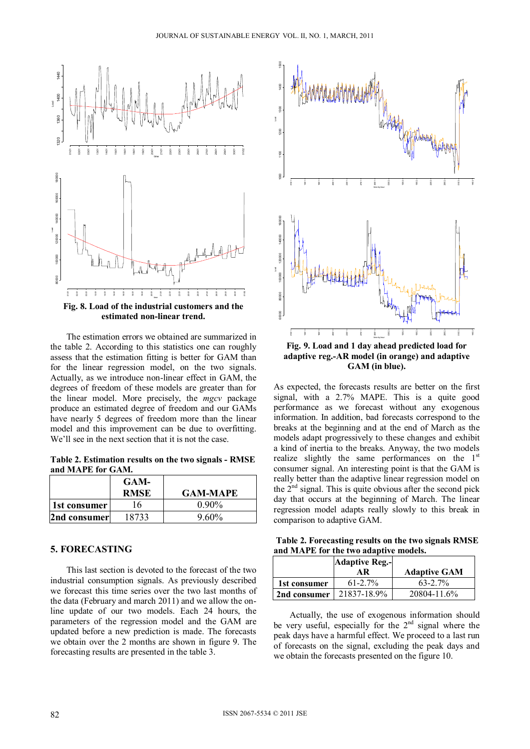

**estimated non-linear trend.** 

The estimation errors we obtained are summarized in the table 2. According to this statistics one can roughly assess that the estimation fitting is better for GAM than for the linear regression model, on the two signals. Actually, as we introduce non-linear effect in GAM, the degrees of freedom of these models are greater than for the linear model. More precisely, the *mgcv* package produce an estimated degree of freedom and our GAMs have nearly 5 degrees of freedom more than the linear model and this improvement can be due to overfitting. We'll see in the next section that it is not the case.

**Table 2. Estimation results on the two signals - RMSE and MAPE for GAM.**

|              | GAM-<br><b>RMSE</b> | <b>GAM-MAPE</b> |
|--------------|---------------------|-----------------|
| 1st consumer | 16                  | $0.90\%$        |
| 2nd consumer | 18733               | $9.60\%$        |

# **5. FORECASTING**

This last section is devoted to the forecast of the two industrial consumption signals. As previously described we forecast this time series over the two last months of the data (February and march 2011) and we allow the online update of our two models. Each 24 hours, the parameters of the regression model and the GAM are updated before a new prediction is made. The forecasts we obtain over the 2 months are shown in figure 9. The forecasting results are presented in the table 3.



As expected, the forecasts results are better on the first signal, with a 2.7% MAPE. This is a quite good performance as we forecast without any exogenous information. In addition, bad forecasts correspond to the breaks at the beginning and at the end of March as the models adapt progressively to these changes and exhibit a kind of inertia to the breaks. Anyway, the two models realize slightly the same performances on the 1<sup>st</sup> consumer signal. An interesting point is that the GAM is really better than the adaptive linear regression model on the  $2<sup>nd</sup>$  signal. This is quite obvious after the second pick day that occurs at the beginning of March. The linear regression model adapts really slowly to this break in comparison to adaptive GAM.

**Table 2. Forecasting results on the two signals RMSE and MAPE for the two adaptive models.**

|              | <b>Adaptive Reg.-</b><br>ΑR | <b>Adaptive GAM</b> |
|--------------|-----------------------------|---------------------|
| 1st consumer | $61 - 2.7\%$                | $63 - 2.7\%$        |
| 2nd consumer | 21837-18.9%                 | 20804-11.6%         |

Actually, the use of exogenous information should be very useful, especially for the  $2<sup>nd</sup>$  signal where the peak days have a harmful effect. We proceed to a last run of forecasts on the signal, excluding the peak days and we obtain the forecasts presented on the figure 10.